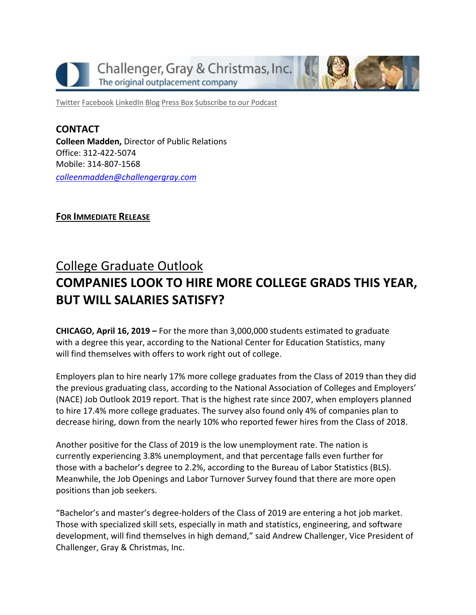

[Twitter](https://twitter.com/#!/ChallengerGray) [Facebook](https://www.facebook.com/ChallengerGray) [LinkedIn](http://www.linkedin.com/company/28264?trk=tyah) [Blog](http://www.challengergray.com/press/blog) [Press](http://www.challengergray.com/press/press-releases) Box [Subscribe](https://itunes.apple.com/us/podcast/challenger-podcast-hr-passport/id1155541697?mt=2) to our Podcast

**CONTACT Colleen Madden,** Director of Public Relations Office: 312-422-5074 Mobile: 314-807-1568 *[colleenmadden@challengergray.com](mailto:colleenmadden@challengergray.com)*

**FOR IMMEDIATE RELEASE**

## College Graduate Outlook **COMPANIES LOOK TO HIRE MORE COLLEGE GRADS THIS YEAR, BUT WILL SALARIES SATISFY?**

**CHICAGO, April 16, 2019 –** For the more than 3,000,000 students estimated to graduate with a degree this year, according to the National Center for Education Statistics, many will find themselves with offers to work right out of college.

Employers plan to hire nearly 17% more college graduates from the Class of 2019 than they did the previous graduating class, according to the National Association of Colleges and Employers' (NACE) Job Outlook 2019 report. That is the highest rate since 2007, when employers planned to hire 17.4% more college graduates. The survey also found only 4% of companies plan to decrease hiring, down from the nearly 10% who reported fewer hires from the Class of 2018.

Another positive for the Class of 2019 is the low unemployment rate. The nation is currently experiencing 3.8% unemployment, and that percentage falls even further for those with a bachelor's degree to 2.2%, according to the Bureau of Labor Statistics (BLS). Meanwhile, the Job Openings and Labor Turnover Survey found that there are more open positions than job seekers.

"Bachelor's and master's degree-holders of the Class of 2019 are entering a hot job market. Those with specialized skill sets, especially in math and statistics, engineering, and software development, will find themselves in high demand," said Andrew Challenger, Vice President of Challenger, Gray & Christmas, Inc.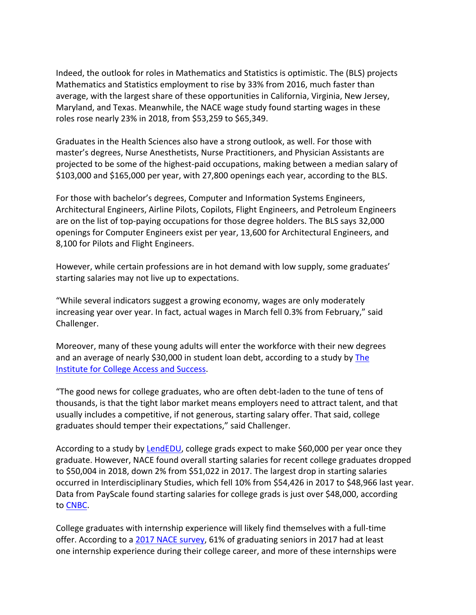Indeed, the outlook for roles in Mathematics and Statistics is optimistic. The (BLS) projects Mathematics and Statistics employment to rise by 33% from 2016, much faster than average, with the largest share of these opportunities in California, Virginia, New Jersey, Maryland, and Texas. Meanwhile, the NACE wage study found starting wages in these roles rose nearly 23% in 2018, from \$53,259 to \$65,349.

Graduates in the Health Sciences also have a strong outlook, as well. For those with master's degrees, Nurse Anesthetists, Nurse Practitioners, and Physician Assistants are projected to be some of the highest-paid occupations, making between a median salary of \$103,000 and \$165,000 per year, with 27,800 openings each year, according to the BLS.

For those with bachelor's degrees, Computer and Information Systems Engineers, Architectural Engineers, Airline Pilots, Copilots, Flight Engineers, and Petroleum Engineers are on the list of top-paying occupations for those degree holders. The BLS says 32,000 openings for Computer Engineers exist per year, 13,600 for Architectural Engineers, and 8,100 for Pilots and Flight Engineers.

However, while certain professions are in hot demand with low supply, some graduates' starting salaries may not live up to expectations.

"While several indicators suggest a growing economy, wages are only moderately increasing year over year. In fact, actual wages in March fell 0.3% from February," said Challenger.

Moreover, many of these young adults will enter the workforce with their new degrees and an average of nearly \$30,000 in student loan debt, according to a study by The Institute [for College Access and Success.](https://ticas.org/posd/home)

"The good news for college graduates, who are often debt-laden to the tune of tens of thousands, is that the tight labor market means employers need to attract talent, and that usually includes a competitive, if not generous, starting salary offer. That said, college graduates should temper their expectations," said Challenger.

According to a study by [LendEDU,](https://lendedu.com/blog/college-graduates-salary-expectations-realities/) college grads expect to make \$60,000 per year once they graduate. However, NACE found overall starting salaries for recent college graduates dropped to \$50,004 in 2018, down 2% from \$51,022 in 2017. The largest drop in starting salaries occurred in Interdisciplinary Studies, which fell 10% from \$54,426 in 2017 to \$48,966 last year. Data from PayScale found starting salaries for college grads is just over \$48,000, according to [CNBC.](https://www.cnbc.com/2019/02/15/college-grads-expect-to-earn-60000-in-their-first-job----few-do.html)

College graduates with internship experience will likely find themselves with a full-time offer. According to a [2017 NACE survey,](https://recruitingdailyadvisor.blr.com/2018/03/internship-compensation-trends/) 61% of graduating seniors in 2017 had at least one internship experience during their college career, and more of these internships were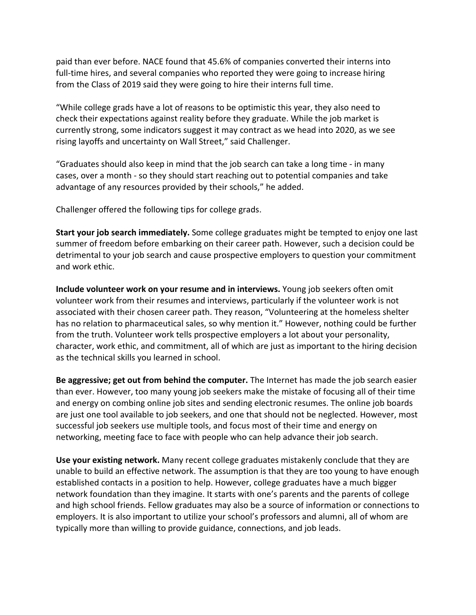paid than ever before. NACE found that 45.6% of companies converted their interns into full-time hires, and several companies who reported they were going to increase hiring from the Class of 2019 said they were going to hire their interns full time.

"While college grads have a lot of reasons to be optimistic this year, they also need to check their expectations against reality before they graduate. While the job market is currently strong, some indicators suggest it may contract as we head into 2020, as we see rising layoffs and uncertainty on Wall Street," said Challenger.

"Graduates should also keep in mind that the job search can take a long time - in many cases, over a month - so they should start reaching out to potential companies and take advantage of any resources provided by their schools," he added.

Challenger offered the following tips for college grads.

**Start your job search immediately.** Some college graduates might be tempted to enjoy one last summer of freedom before embarking on their career path. However, such a decision could be detrimental to your job search and cause prospective employers to question your commitment and work ethic.

**Include volunteer work on your resume and in interviews.** Young job seekers often omit volunteer work from their resumes and interviews, particularly if the volunteer work is not associated with their chosen career path. They reason, "Volunteering at the homeless shelter has no relation to pharmaceutical sales, so why mention it." However, nothing could be further from the truth. Volunteer work tells prospective employers a lot about your personality, character, work ethic, and commitment, all of which are just as important to the hiring decision as the technical skills you learned in school.

**Be aggressive; get out from behind the computer.** The Internet has made the job search easier than ever. However, too many young job seekers make the mistake of focusing all of their time and energy on combing online job sites and sending electronic resumes. The online job boards are just one tool available to job seekers, and one that should not be neglected. However, most successful job seekers use multiple tools, and focus most of their time and energy on networking, meeting face to face with people who can help advance their job search.

**Use your existing network.** Many recent college graduates mistakenly conclude that they are unable to build an effective network. The assumption is that they are too young to have enough established contacts in a position to help. However, college graduates have a much bigger network foundation than they imagine. It starts with one's parents and the parents of college and high school friends. Fellow graduates may also be a source of information or connections to employers. It is also important to utilize your school's professors and alumni, all of whom are typically more than willing to provide guidance, connections, and job leads.